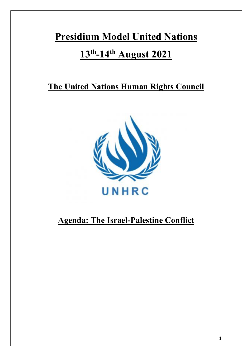# **Presidium Model United Nations**

# **13th-14th August 2021**

## **The United Nations Human Rights Council**



## **Agenda: The Israel-Palestine Conflict**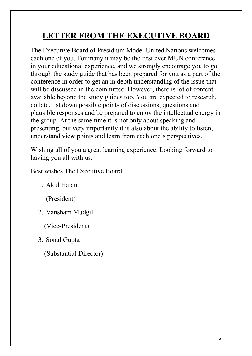# **LETTER FROM THE EXECUTIVE BOARD**

The Executive Board of Presidium Model United Nations welcomes each one of you. For many it may be the first ever MUN conference in your educational experience, and we strongly encourage you to go through the study guide that has been prepared for you as a part of the conference in order to get an in depth understanding of the issue that will be discussed in the committee. However, there is lot of content available beyond the study guides too. You are expected to research, collate, list down possible points of discussions, questions and plausible responses and be prepared to enjoy the intellectual energy in the group. At the same time it is not only about speaking and presenting, but very importantly it is also about the ability to listen, understand view points and learn from each one's perspectives.

Wishing all of you a great learning experience. Looking forward to having you all with us.

Best wishes The Executive Board

1. Akul Halan

(President)

2. Vansham Mudgil

(Vice-President)

3. Sonal Gupta

(Substantial Director)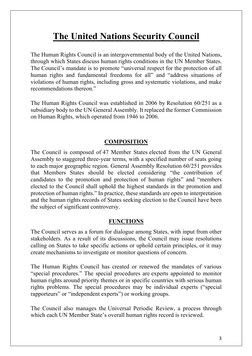# **The United Nations Security Council**

The Human Rights Council is an intergovernmental body of the United Nations, through which States discuss human rights conditions in the UN Member States. The Council's mandate is to promote "universal respect for the protection of all human rights and fundamental freedoms for all" and "address situations of violations of human rights, including gross and systematic violations, and make recommendations thereon."

The Human Rights Council was established in 2006 by Resolution 60/251 as a subsidiary body to the UN General Assembly. It replaced the former Commission on Human Rights, which operated from 1946 to 2006.

#### **COMPOSITION**

The Council is composed of 47 Member States elected from the UN General Assembly to staggered three-year terms, with a specified number of seats going to each major geographic region. General Assembly Resolution 60/251 provides that Members States should be elected considering "the contribution of candidates to the promotion and protection of human rights" and "members elected to the Council shall uphold the highest standards in the promotion and protection of human rights." In practice, these standards are open to interpretation and the human rights records of States seeking election to the Council have been the subject of significant controversy.

#### **FUNCTIONS**

The Council serves as a forum for dialogue among States, with input from other stakeholders. As a result of its discussions, the Council may issue resolutions calling on States to take specific actions or uphold certain principles, or it may create mechanisms to investigate or monitor questions of concern.

The Human Rights Council has created or renewed the mandates of various "special procedures." The special procedures are experts appointed to monitor human rights around priority themes or in specific countries with serious human rights problems. The special procedures may be individual experts ("special rapporteurs" or "independent experts") or working groups.

The Council also manages the Universal Periodic Review, a process through which each UN Member State's overall human rights record is reviewed.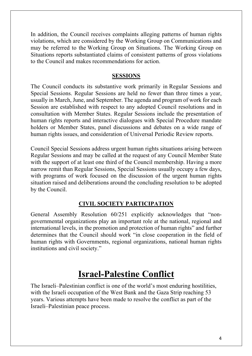In addition, the Council receives complaints alleging patterns of human rights violations, which are considered by the Working Group on Communications and may be referred to the Working Group on Situations. The Working Group on Situations reports substantiated claims of consistent patterns of gross violations to the Council and makes recommendations for action.

#### **SESSIONS**

The Council conducts its substantive work primarily in Regular Sessions and Special Sessions. Regular Sessions are held no fewer than three times a year, usually in March, June, and September. The agenda and program of work for each Session are established with respect to any adopted Council resolutions and in consultation with Member States. Regular Sessions include the presentation of human rights reports and interactive dialogues with Special Procedure mandate holders or Member States, panel discussions and debates on a wide range of human rights issues, and consideration of Universal Periodic Review reports.

Council Special Sessions address urgent human rights situations arising between Regular Sessions and may be called at the request of any Council Member State with the support of at least one third of the Council membership. Having a more narrow remit than Regular Sessions, Special Sessions usually occupy a few days, with programs of work focused on the discussion of the urgent human rights situation raised and deliberations around the concluding resolution to be adopted by the Council.

#### **CIVIL SOCIETY PARTICIPATION**

General Assembly Resolution 60/251 explicitly acknowledges that "nongovernmental organizations play an important role at the national, regional and international levels, in the promotion and protection of human rights" and further determines that the Council should work "in close cooperation in the field of human rights with Governments, regional organizations, national human rights institutions and civil society."

## **Israel-Palestine Conflict**

The Israeli–Palestinian conflict is one of the world's most enduring hostilities, with the Israeli occupation of the West Bank and the Gaza Strip reaching 53 years. Various attempts have been made to resolve the conflict as part of the Israeli–Palestinian peace process.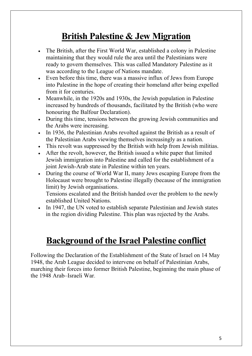# **British Palestine & Jew Migration**

- The British, after the First World War, established a colony in Palestine maintaining that they would rule the area until the Palestinians were ready to govern themselves. This was called Mandatory Palestine as it was according to the League of Nations mandate.
- Even before this time, there was a massive influx of Jews from Europe into Palestine in the hope of creating their homeland after being expelled from it for centuries.
- Meanwhile, in the 1920s and 1930s, the Jewish population in Palestine increased by hundreds of thousands, facilitated by the British (who were honouring the Balfour Declaration).
- During this time, tensions between the growing Jewish communities and the Arabs were increasing.
- In 1936, the Palestinian Arabs revolted against the British as a result of the Palestinian Arabs viewing themselves increasingly as a nation.
- This revolt was suppressed by the British with help from Jewish militias.
- After the revolt, however, the British issued a white paper that limited Jewish immigration into Palestine and called for the establishment of a joint Jewish-Arab state in Palestine within ten years.
- During the course of World War II, many Jews escaping Europe from the Holocaust were brought to Palestine illegally (because of the immigration limit) by Jewish organisations.

Tensions escalated and the British handed over the problem to the newly established United Nations.

• In 1947, the UN voted to establish separate Palestinian and Jewish states in the region dividing Palestine. This plan was rejected by the Arabs.

## **Background of the Israel Palestine conflict**

Following the Declaration of the Establishment of the State of Israel on 14 May 1948, the Arab League decided to intervene on behalf of Palestinian Arabs, marching their forces into former British Palestine, beginning the main phase of the 1948 Arab–Israeli War.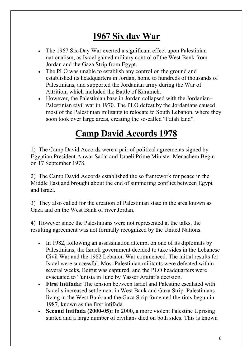# **1967 Six day War**

- The 1967 Six-Day War exerted a significant effect upon Palestinian nationalism, as Israel gained military control of the West Bank from Jordan and the Gaza Strip from Egypt.
- The PLO was unable to establish any control on the ground and established its headquarters in Jordan, home to hundreds of thousands of Palestinians, and supported the Jordanian army during the War of Attrition, which included the Battle of Karameh.
- However, the Palestinian base in Jordan collapsed with the Jordanian– Palestinian civil war in 1970. The PLO defeat by the Jordanians caused most of the Palestinian militants to relocate to South Lebanon, where they soon took over large areas, creating the so-called "Fatah land".

# **Camp David Accords 1978**

1) The Camp David Accords were a pair of political agreements signed by Egyptian President Anwar Sadat and Israeli Prime Minister Menachem Begin on 17 September 1978.

2) The Camp David Accords established the so framework for peace in the Middle East and brought about the end of simmering conflict between Egypt and Israel.

3) They also called for the creation of Palestinian state in the area known as Gaza and on the West Bank of river Jordan.

4) However since the Palestinians were not represented at the talks, the resulting agreement was not formally recognized by the United Nations.

- In 1982, following an assassination attempt on one of its diplomats by Palestinians, the Israeli government decided to take sides in the Lebanese Civil War and the 1982 Lebanon War commenced. The initial results for Israel were successful. Most Palestinian militants were defeated within several weeks, Beirut was captured, and the PLO headquarters were evacuated to Tunisia in June by Yasser Arafat's decision.
- **First Intifada:** The tension between Israel and Palestine escalated with Israel's increased settlement in West Bank and Gaza Strip. Palestinians living in the West Bank and the Gaza Strip fomented the riots begun in 1987, known as the first intifada.
- **Second Intifada (2000-05):** In 2000, a more violent Palestine Uprising started and a large number of civilians died on both sides. This is known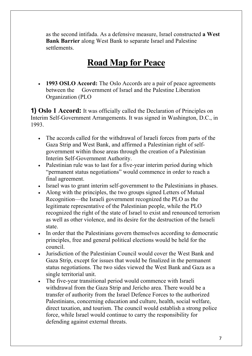as the second intifada. As a defensive measure, Israel constructed **a West Bank Barrier** along West Bank to separate Israel and Palestine settlements.

# **Road Map for Peace**

• **1993 OSLO Accord:** The Oslo Accords are a pair of peace agreements between the Government of Israel and the Palestine Liberation Organization (PLO

**1) Oslo 1 Accord:** It was officially called the Declaration of Principles on Interim Self-Government Arrangements. It was signed in Washington, D.C., in 1993.

- The accords called for the withdrawal of Israeli forces from parts of the Gaza Strip and West Bank, and affirmed a Palestinian right of selfgovernment within those areas through the creation of a Palestinian Interim Self-Government Authority.
- Palestinian rule was to last for a five-year interim period during which "permanent status negotiations" would commence in order to reach a final agreement.
- Israel was to grant interim self-government to the Palestinians in phases.
- Along with the principles, the two groups signed Letters of Mutual Recognition—the Israeli government recognized the PLO as the legitimate representative of the Palestinian people, while the PLO recognized the right of the state of Israel to exist and renounced terrorism as well as other violence, and its desire for the destruction of the Israeli state.
- In order that the Palestinians govern themselves according to democratic principles, free and general political elections would be held for the council.
- Jurisdiction of the Palestinian Council would cover the West Bank and Gaza Strip, except for issues that would be finalized in the permanent status negotiations. The two sides viewed the West Bank and Gaza as a single territorial unit.
- The five-year transitional period would commence with Israeli withdrawal from the Gaza Strip and Jericho area. There would be a transfer of authority from the Israel Defence Forces to the authorized Palestinians, concerning education and culture, health, social welfare, direct taxation, and tourism. The council would establish a strong police force, while Israel would continue to carry the responsibility for defending against external threats.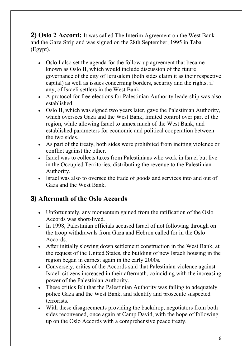**2) Oslo 2 Accord:** It was called The Interim Agreement on the West Bank and the Gaza Strip and was signed on the 28th September, 1995 in Taba (Egypt).

- Oslo I also set the agenda for the follow-up agreement that became known as Oslo II, which would include discussion of the future governance of the city of Jerusalem (both sides claim it as their respective capital) as well as issues concerning borders, security and the rights, if any, of Israeli settlers in the West Bank.
- A protocol for free elections for Palestinian Authority leadership was also established.
- Oslo II, which was signed two years later, gave the Palestinian Authority, which oversees Gaza and the West Bank, limited control over part of the region, while allowing Israel to annex much of the West Bank, and established parameters for economic and political cooperation between the two sides.
- As part of the treaty, both sides were prohibited from inciting violence or conflict against the other.
- Israel was to collects taxes from Palestinians who work in Israel but live in the Occupied Territories, distributing the revenue to the Palestinian Authority.
- Israel was also to oversee the trade of goods and services into and out of Gaza and the West Bank.

### **3) Aftermath of the Oslo Accords**

- Unfortunately, any momentum gained from the ratification of the Oslo Accords was short-lived.
- In 1998, Palestinian officials accused Israel of not following through on the troop withdrawals from Gaza and Hebron called for in the Oslo Accords.
- After initially slowing down settlement construction in the West Bank, at the request of the United States, the building of new Israeli housing in the region began in earnest again in the early 2000s.
- Conversely, critics of the Accords said that Palestinian violence against Israeli citizens increased in their aftermath, coinciding with the increasing power of the Palestinian Authority.
- These critics felt that the Palestinian Authority was failing to adequately police Gaza and the West Bank, and identify and prosecute suspected terrorists.
- With these disagreements providing the backdrop, negotiators from both sides reconvened, once again at Camp David, with the hope of following up on the Oslo Accords with a comprehensive peace treaty.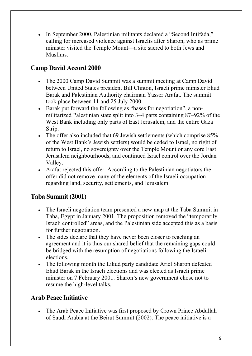• In September 2000, Palestinian militants declared a "Second Intifada," calling for increased violence against Israelis after Sharon, who as prime minister visited the Temple Mount—a site sacred to both Jews and Muslims.

### **Camp David Accord 2000**

- The 2000 Camp David Summit was a summit meeting at Camp David between United States president Bill Clinton, Israeli prime minister Ehud Barak and Palestinian Authority chairman Yasser Arafat. The summit took place between 11 and 25 July 2000.
- Barak put forward the following as "bases for negotiation", a nonmilitarized Palestinian state split into 3–4 parts containing 87–92% of the West Bank including only parts of East Jerusalem, and the entire Gaza Strip.
- The offer also included that 69 Jewish settlements (which comprise  $85\%$ ) of the West Bank's Jewish settlers) would be ceded to Israel, no right of return to Israel, no sovereignty over the Temple Mount or any core East Jerusalem neighbourhoods, and continued Israel control over the Jordan Valley.
- Arafat rejected this offer. According to the Palestinian negotiators the offer did not remove many of the elements of the Israeli occupation regarding land, security, settlements, and Jerusalem.

### **Taba Summit (2001)**

- The Israeli negotiation team presented a new map at the Taba Summit in Taba, Egypt in January 2001. The proposition removed the "temporarily Israeli controlled" areas, and the Palestinian side accepted this as a basis for further negotiation.
- The sides declare that they have never been closer to reaching an agreement and it is thus our shared belief that the remaining gaps could be bridged with the resumption of negotiations following the Israeli elections.
- The following month the Likud party candidate Ariel Sharon defeated Ehud Barak in the Israeli elections and was elected as Israeli prime minister on 7 February 2001. Sharon's new government chose not to resume the high-level talks.

#### **Arab Peace Initiative**

• The Arab Peace Initiative was first proposed by Crown Prince Abdullah of Saudi Arabia at the Beirut Summit (2002). The peace initiative is a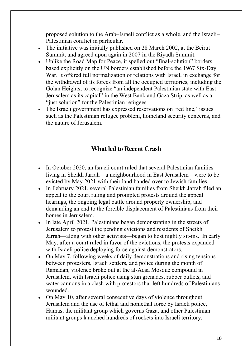proposed solution to the Arab–Israeli conflict as a whole, and the Israeli– Palestinian conflict in particular.

- The initiative was initially published on 28 March 2002, at the Beirut Summit, and agreed upon again in 2007 in the Riyadh Summit.
- Unlike the Road Map for Peace, it spelled out "final-solution" borders based explicitly on the UN borders established before the 1967 Six-Day War. It offered full normalization of relations with Israel, in exchange for the withdrawal of its forces from all the occupied territories, including the Golan Heights, to recognize "an independent Palestinian state with East Jerusalem as its capital" in the West Bank and Gaza Strip, as well as a "just solution" for the Palestinian refugees.
- The Israeli government has expressed reservations on 'red line,' issues such as the Palestinian refugee problem, homeland security concerns, and the nature of Jerusalem.

#### **What led to Recent Crash**

- In October 2020, an Israeli court ruled that several Palestinian families living in Sheikh Jarrah—a neighbourhood in East Jerusalem—were to be evicted by May 2021 with their land handed over to Jewish families.
- In February 2021, several Palestinian families from Sheikh Jarrah filed an appeal to the court ruling and prompted protests around the appeal hearings, the ongoing legal battle around property ownership, and demanding an end to the forcible displacement of Palestinians from their homes in Jerusalem.
- In late April 2021, Palestinians began demonstrating in the streets of Jerusalem to protest the pending evictions and residents of Sheikh Jarrah—along with other activists—began to host nightly sit-ins. In early May, after a court ruled in favor of the evictions, the protests expanded with Israeli police deploying force against demonstrators.
- On May 7, following weeks of daily demonstrations and rising tensions between protesters, Israeli settlers, and police during the month of Ramadan, violence broke out at the al-Aqsa Mosque compound in Jerusalem, with Israeli police using stun grenades, rubber bullets, and water cannons in a clash with protestors that left hundreds of Palestinians wounded.
- On May 10, after several consecutive days of violence throughout Jerusalem and the use of lethal and nonlethal force by Israeli police, Hamas, the militant group which governs Gaza, and other Palestinian militant groups launched hundreds of rockets into Israeli territory.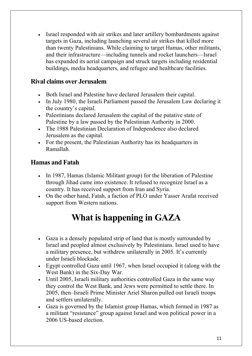• Israel responded with air strikes and later artillery bombardments against targets in Gaza, including launching several air strikes that killed more than twenty Palestinians. While claiming to target Hamas, other militants, and their infrastructure—including tunnels and rocket launchers—Israel has expanded its aerial campaign and struck targets including residential buildings, media headquarters, and refugee and healthcare facilities.

#### **Rival claims over Jerusalem**

- Both Israel and Palestine have declared Jerusalem their capital.
- In July 1980, the Israeli Parliament passed the Jerusalem Law declaring it the country's capital.
- Palestinians declared Jerusalem the capital of the putative state of Palestine by a law passed by the Palestinian Authority in 2000.
- The 1988 Palestinian Declaration of Independence also declared Jerusalem as the capital.
- For the present, the Palestinian Authority has its headquarters in Ramallah.

#### **Hamas and Fatah**

- In 1987, Hamas (Islamic Militant group) for the liberation of Palestine through Jihad came into existence. It refused to recognize Israel as a country. It has received support from Iran and Syria.
- On the other hand, Fatah, a faction of PLO under Yasser Arafat received support from Western nations.

# **What is happening in GAZA**

- Gaza is a densely populated strip of land that is mostly surrounded by Israel and peopled almost exclusively by Palestinians. Israel used to have a military presence, but withdrew unilaterally in 2005. It's currently under Israeli blockade.
- Egypt controlled Gaza until 1967, when Israel occupied it (along with the West Bank) in the Six-Day War.
- Until 2005, Israeli military authorities controlled Gaza in the same way they control the West Bank, and Jews were permitted to settle there. In 2005, then–Israeli Prime Minister Ariel Sharon pulled out Israeli troops and settlers unilaterally.
- Gaza is governed by the Islamist group Hamas, which formed in 1987 as a militant "resistance" group against Israel and won political power in a 2006 US-based election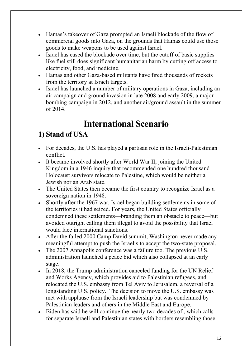- Hamas's takeover of Gaza prompted an Israeli blockade of the flow of commercial goods into Gaza, on the grounds that Hamas could use those goods to make weapons to be used against Israel.
- Israel has eased the blockade over time, but the cutoff of basic supplies like fuel still does significant humanitarian harm by cutting off access to electricity, food, and medicine.
- Hamas and other Gaza-based militants have fired thousands of rockets from the territory at Israeli targets.
- Israel has launched a number of military operations in Gaza, including an air campaign and ground invasion in late 2008 and early 2009, a major bombing campaign in 2012, and another air/ground assault in the summer of 2014.

# **International Scenario**

## **1) Stand of USA**

- For decades, the U.S. has played a partisan role in the Israeli-Palestinian conflict.
- It became involved shortly after World War II, joining the United Kingdom in a 1946 inquiry that recommended one hundred thousand Holocaust survivors relocate to Palestine, which would be neither a Jewish nor an Arab state.
- The United States then became the first country to recognize Israel as a sovereign nation in 1948.
- Shortly after the 1967 war, Israel began building settlements in some of the territories it had seized. For years, the United States officially condemned these settlements—branding them an obstacle to peace—but avoided outright calling them illegal to avoid the possibility that Israel would face international sanctions.
- After the failed 2000 Camp David summit, Washington never made any meaningful attempt to push the Israelis to accept the two-state proposal.
- The 2007 Annapolis conference was a failure too. The previous U.S. administration launched a peace bid which also collapsed at an early stage.
- In 2018, the Trump administration canceled funding for the UN Relief and Works Agency, which provides aid to Palestinian refugees, and relocated the U.S. embassy from Tel Aviv to Jerusalem, a reversal of a longstanding U.S. policy. The decision to move the U.S. embassy was met with applause from the Israeli leadership but was condemned by Palestinian leaders and others in the Middle East and Europe.
- Biden has said he will continue the nearly two decades of, which calls for separate Israeli and Palestinian states with borders resembling those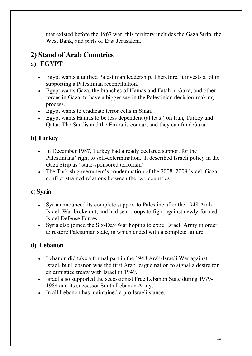that existed before the 1967 war; this territory includes the Gaza Strip, the West Bank, and parts of East Jerusalem.

### **2) Stand of Arab Countries**

### **a) EGYPT**

- Egypt wants a unified Palestinian leadership. Therefore, it invests a lot in supporting a Palestinian reconciliation.
- Egypt wants Gaza, the branches of Hamas and Fatah in Gaza, and other forces in Gaza, to have a bigger say in the Palestinian decision-making process.
- Egypt wants to eradicate terror cells in Sinai.
- Egypt wants Hamas to be less dependent (at least) on Iran, Turkey and Qatar. The Saudis and the Emiratis concur, and they can fund Gaza.

### **b) Turkey**

- In December 1987, Turkey had already declared support for the Palestinians' right to self-determination. It described Israeli policy in the Gaza Strip as "state-sponsored terrorism"
- The Turkish government's condemnation of the 2008–2009 Israel–Gaza conflict strained relations between the two countries.

### **c**)**Syria**

- Syria announced its complete support to Palestine after the 1948 Arab– Israeli War broke out, and had sent troops to fight against newly-formed Israel Defense Forces
- Syria also joined the Six-Day War hoping to expel Israeli Army in order to restore Palestinian state, in which ended with a complete failure.

### **d) Lebanon**

- Lebanon did take a formal part in the 1948 Arab-Israeli War against Israel, but Lebanon was the first Arab league nation to signal a desire for an armistice treaty with Israel in 1949.
- Israel also supported the secessionist Free Lebanon State during 1979-1984 and its successor South Lebanon Army.
- In all Lebanon has maintained a pro Israeli stance.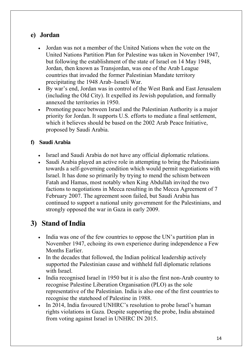#### **e) Jordan**

- Jordan was not a member of the United Nations when the vote on the United Nations Partition Plan for Palestine was taken in November 1947, but following the establishment of the state of Israel on 14 May 1948, Jordan, then known as Transjordan, was one of the Arab League countries that invaded the former Palestinian Mandate territory precipitating the 1948 Arab–Israeli War.
- By war's end, Jordan was in control of the West Bank and East Jerusalem (including the Old City). It expelled its Jewish population, and formally annexed the territories in 1950.
- Promoting peace between Israel and the Palestinian Authority is a major priority for Jordan. It supports U.S. efforts to mediate a final settlement, which it believes should be based on the 2002 Arab Peace Initiative, proposed by Saudi Arabia.

#### **f) Saudi Arabia**

- Israel and Saudi Arabia do not have any official diplomatic relations.
- Saudi Arabia played an active role in attempting to bring the Palestinians towards a self-governing condition which would permit negotiations with Israel. It has done so primarily by trying to mend the schism between Fatah and Hamas, most notably when King Abdullah invited the two factions to negotiations in Mecca resulting in the Mecca Agreement of 7 February 2007. The agreement soon failed, but Saudi Arabia has continued to support a national unity government for the Palestinians, and strongly opposed the war in Gaza in early 2009.

### **3) Stand of India**

- India was one of the few countries to oppose the UN's partition plan in November 1947, echoing its own experience during independence a Few Months Earlier.
- In the decades that followed, the Indian political leadership actively supported the Palestinian cause and withheld full diplomatic relations with Israel.
- India recognised Israel in 1950 but it is also the first non-Arab country to recognise Palestine Liberation Organisation (PLO) as the sole representative of the Palestinian. India is also one of the first countries to recognise the statehood of Palestine in 1988.
- In 2014, India favoured UNHRC's resolution to probe Israel's human rights violations in Gaza. Despite supporting the probe, India abstained from voting against Israel in UNHRC IN 2015.